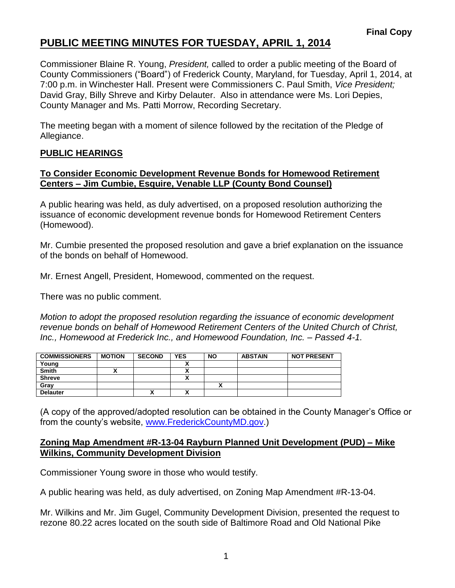Commissioner Blaine R. Young, *President,* called to order a public meeting of the Board of County Commissioners ("Board") of Frederick County, Maryland, for Tuesday, April 1, 2014, at 7:00 p.m. in Winchester Hall. Present were Commissioners C. Paul Smith, *Vice President;* David Gray, Billy Shreve and Kirby Delauter. Also in attendance were Ms. Lori Depies, County Manager and Ms. Patti Morrow, Recording Secretary.

The meeting began with a moment of silence followed by the recitation of the Pledge of Allegiance.

### **PUBLIC HEARINGS**

#### **To Consider Economic Development Revenue Bonds for Homewood Retirement Centers – Jim Cumbie, Esquire, Venable LLP (County Bond Counsel)**

A public hearing was held, as duly advertised, on a proposed resolution authorizing the issuance of economic development revenue bonds for Homewood Retirement Centers (Homewood).

Mr. Cumbie presented the proposed resolution and gave a brief explanation on the issuance of the bonds on behalf of Homewood.

Mr. Ernest Angell, President, Homewood, commented on the request.

There was no public comment.

*Motion to adopt the proposed resolution regarding the issuance of economic development revenue bonds on behalf of Homewood Retirement Centers of the United Church of Christ, Inc., Homewood at Frederick Inc., and Homewood Foundation, Inc. – Passed 4-1.*

| <b>COMMISSIONERS</b> | <b>MOTION</b> | <b>SECOND</b> | <b>YES</b> | <b>NO</b> | <b>ABSTAIN</b> | <b>NOT PRESENT</b> |
|----------------------|---------------|---------------|------------|-----------|----------------|--------------------|
| Young                |               |               |            |           |                |                    |
| <b>Smith</b>         |               |               |            |           |                |                    |
| <b>Shreve</b>        |               |               |            |           |                |                    |
| Gray                 |               |               |            |           |                |                    |
| <b>Delauter</b>      |               | ~             |            |           |                |                    |

(A copy of the approved/adopted resolution can be obtained in the County Manager's Office or from the county's website, [www.FrederickCountyMD.gov.](http://www.frederickcountymd.gov/))

#### **Zoning Map Amendment #R-13-04 Rayburn Planned Unit Development (PUD) – Mike Wilkins, Community Development Division**

Commissioner Young swore in those who would testify.

A public hearing was held, as duly advertised, on Zoning Map Amendment #R-13-04.

Mr. Wilkins and Mr. Jim Gugel, Community Development Division, presented the request to rezone 80.22 acres located on the south side of Baltimore Road and Old National Pike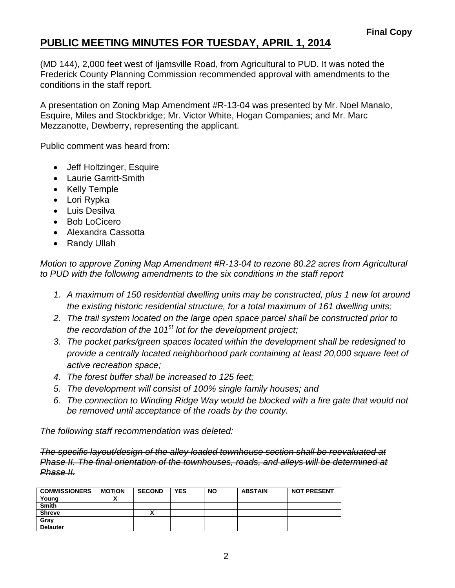(MD 144), 2,000 feet west of Ijamsville Road, from Agricultural to PUD. It was noted the Frederick County Planning Commission recommended approval with amendments to the conditions in the staff report.

A presentation on Zoning Map Amendment #R-13-04 was presented by Mr. Noel Manalo, Esquire, Miles and Stockbridge; Mr. Victor White, Hogan Companies; and Mr. Marc Mezzanotte, Dewberry, representing the applicant.

Public comment was heard from:

- Jeff Holtzinger, Esquire
- Laurie Garritt-Smith
- Kelly Temple
- Lori Rypka
- Luis Desilva
- Bob LoCicero
- Alexandra Cassotta
- Randy Ullah

*Motion to approve Zoning Map Amendment #R-13-04 to rezone 80.22 acres from Agricultural to PUD with the following amendments to the six conditions in the staff report* 

- *1. A maximum of 150 residential dwelling units may be constructed, plus 1 new lot around the existing historic residential structure, for a total maximum of 161 dwelling units;*
- *2. The trail system located on the large open space parcel shall be constructed prior to the recordation of the 101st lot for the development project;*
- *3. The pocket parks/green spaces located within the development shall be redesigned to provide a centrally located neighborhood park containing at least 20,000 square feet of active recreation space;*
- *4. The forest buffer shall be increased to 125 feet;*
- *5. The development will consist of 100% single family houses; and*
- *6. The connection to Winding Ridge Way would be blocked with a fire gate that would not be removed until acceptance of the roads by the county.*

*The following staff recommendation was deleted:*

*The specific layout/design of the alley loaded townhouse section shall be reevaluated at Phase II. The final orientation of the townhouses, roads, and alleys will be determined at Phase II.*

| <b>COMMISSIONERS</b> | <b>MOTION</b> | <b>SECOND</b> | <b>YES</b> | <b>NO</b> | <b>ABSTAIN</b> | <b>NOT PRESENT</b> |
|----------------------|---------------|---------------|------------|-----------|----------------|--------------------|
| Young                |               |               |            |           |                |                    |
| <b>Smith</b>         |               |               |            |           |                |                    |
| <b>Shreve</b>        |               | ۰.<br>^       |            |           |                |                    |
| Gray                 |               |               |            |           |                |                    |
| <b>Delauter</b>      |               |               |            |           |                |                    |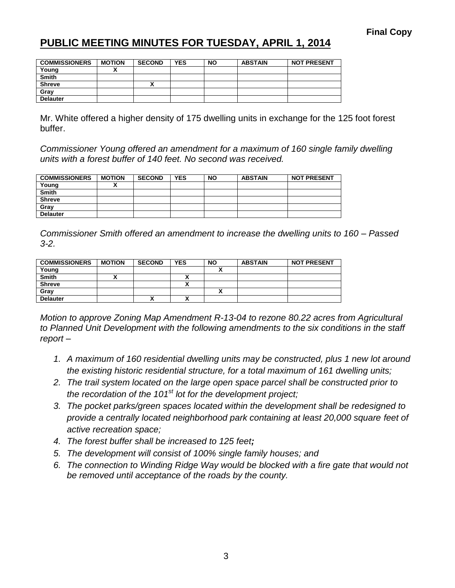| <b>COMMISSIONERS</b> | <b>MOTION</b> | <b>SECOND</b> | <b>YES</b> | <b>NO</b> | <b>ABSTAIN</b> | <b>NOT PRESENT</b> |
|----------------------|---------------|---------------|------------|-----------|----------------|--------------------|
| Young                |               |               |            |           |                |                    |
| <b>Smith</b>         |               |               |            |           |                |                    |
| <b>Shreve</b>        |               | Λ             |            |           |                |                    |
| Gray                 |               |               |            |           |                |                    |
| <b>Delauter</b>      |               |               |            |           |                |                    |

Mr. White offered a higher density of 175 dwelling units in exchange for the 125 foot forest buffer.

*Commissioner Young offered an amendment for a maximum of 160 single family dwelling units with a forest buffer of 140 feet. No second was received.*

| <b>COMMISSIONERS</b> | <b>MOTION</b> | <b>SECOND</b> | <b>YES</b> | <b>NO</b> | <b>ABSTAIN</b> | <b>NOT PRESENT</b> |
|----------------------|---------------|---------------|------------|-----------|----------------|--------------------|
| Young                |               |               |            |           |                |                    |
| <b>Smith</b>         |               |               |            |           |                |                    |
| <b>Shreve</b>        |               |               |            |           |                |                    |
| Grav                 |               |               |            |           |                |                    |
| <b>Delauter</b>      |               |               |            |           |                |                    |

*Commissioner Smith offered an amendment to increase the dwelling units to 160 – Passed 3-2.*

| <b>COMMISSIONERS</b> | <b>MOTION</b> | <b>SECOND</b> | <b>YES</b> | <b>NO</b> | <b>ABSTAIN</b> | <b>NOT PRESENT</b> |
|----------------------|---------------|---------------|------------|-----------|----------------|--------------------|
| Young                |               |               |            |           |                |                    |
| <b>Smith</b>         |               |               |            |           |                |                    |
| <b>Shreve</b>        |               |               |            |           |                |                    |
| Gray                 |               |               |            |           |                |                    |
| <b>Delauter</b>      |               | Λ             |            |           |                |                    |

*Motion to approve Zoning Map Amendment R-13-04 to rezone 80.22 acres from Agricultural to Planned Unit Development with the following amendments to the six conditions in the staff report –*

- *1. A maximum of 160 residential dwelling units may be constructed, plus 1 new lot around the existing historic residential structure, for a total maximum of 161 dwelling units;*
- *2. The trail system located on the large open space parcel shall be constructed prior to the recordation of the 101st lot for the development project;*
- *3. The pocket parks/green spaces located within the development shall be redesigned to provide a centrally located neighborhood park containing at least 20,000 square feet of active recreation space;*
- *4. The forest buffer shall be increased to 125 feet;*
- *5. The development will consist of 100% single family houses; and*
- *6. The connection to Winding Ridge Way would be blocked with a fire gate that would not be removed until acceptance of the roads by the county.*